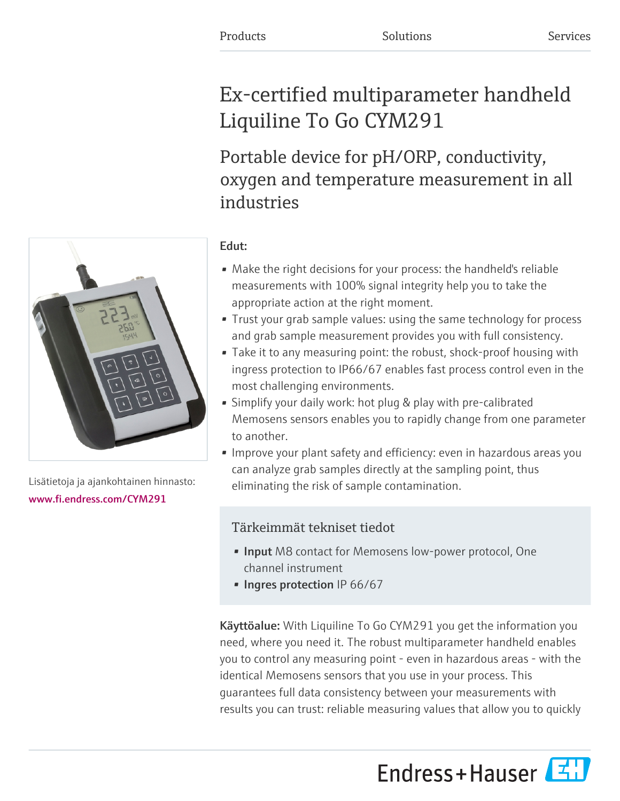# Ex-certified multiparameter handheld Liquiline To Go CYM291

Portable device for pH/ORP, conductivity, oxygen and temperature measurement in all industries

# Edut:

- Make the right decisions for your process: the handheld's reliable measurements with 100% signal integrity help you to take the appropriate action at the right moment.
- Trust your grab sample values: using the same technology for process and grab sample measurement provides you with full consistency.
- Take it to any measuring point: the robust, shock-proof housing with ingress protection to IP66/67 enables fast process control even in the most challenging environments.
- Simplify your daily work: hot plug & play with pre-calibrated Memosens sensors enables you to rapidly change from one parameter to another.
- Improve your plant safety and efficiency: even in hazardous areas you can analyze grab samples directly at the sampling point, thus eliminating the risk of sample contamination.

# Tärkeimmät tekniset tiedot

- Input M8 contact for Memosens low-power protocol, One channel instrument
- Ingres protection IP 66/67

Käyttöalue: With Liquiline To Go CYM291 you get the information you need, where you need it. The robust multiparameter handheld enables you to control any measuring point - even in hazardous areas - with the identical Memosens sensors that you use in your process. This guarantees full data consistency between your measurements with results you can trust: reliable measuring values that allow you to quickly

Endress+Hauser



Lisätietoja ja ajankohtainen hinnasto: [www.fi.endress.com/CYM291](https://www.fi.endress.com/CYM291)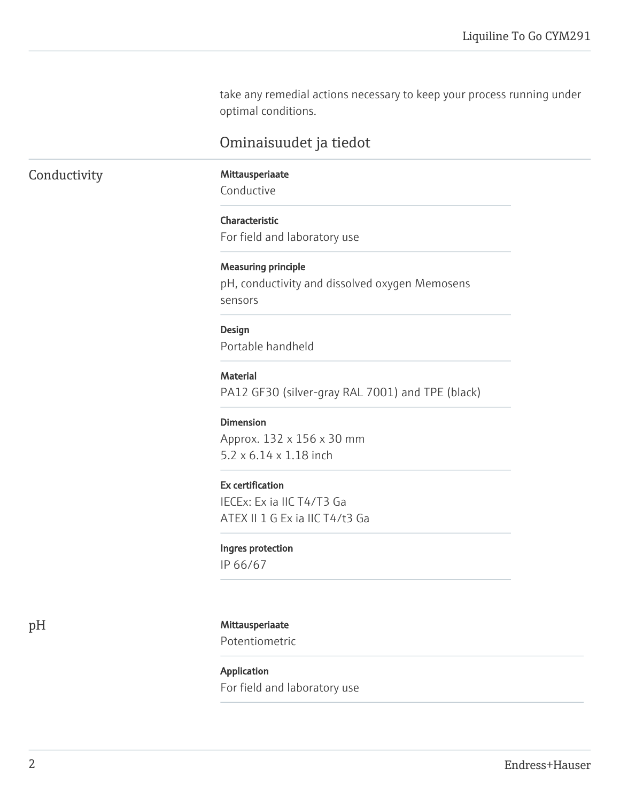take any remedial actions necessary to keep your process running under optimal conditions.

# Ominaisuudet ja tiedot

## Conductivity Mittausperiaate

Conductive

Characteristic For field and laboratory use

### Measuring principle

pH, conductivity and dissolved oxygen Memosens sensors

### Design

Portable handheld

### Material

PA12 GF30 (silver-gray RAL 7001) and TPE (black)

### Dimension

Approx. 132 x 156 x 30 mm 5.2 x 6.14 x 1.18 inch

### Ex certification

IECEx: Ex ia IIC T4/T3 Ga ATEX II 1 G Ex ia IIC T4/t3 Ga

### Ingres protection

IP 66/67

### pH Mittausperiaate

Potentiometric

# Application For field and laboratory use